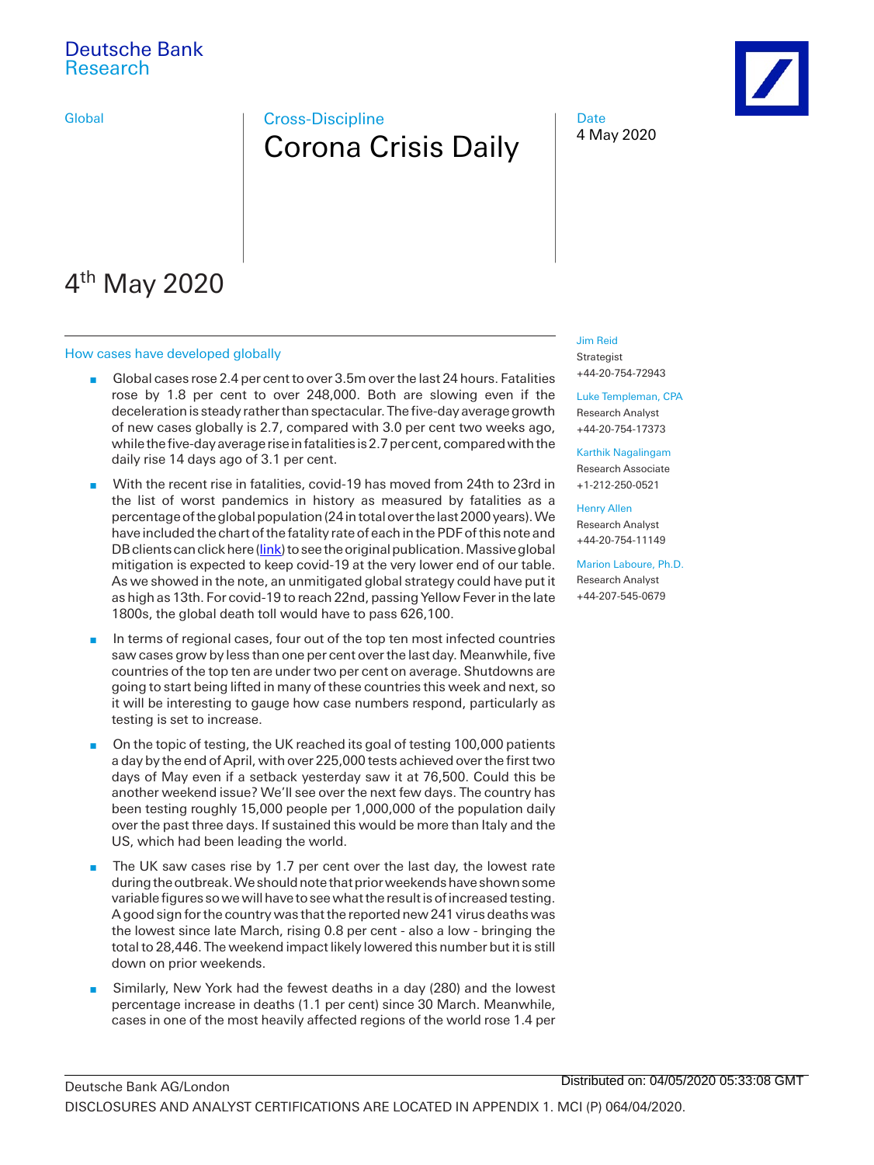# Deutsche Bank Research

# Global **Cross-Discipline** Corona Crisis Daily





# 4<sup>th</sup> May 2020

#### How cases have developed globally

- Global cases rose 2.4 per cent to over 3.5m over the last 24 hours. Fatalities rose by 1.8 per cent to over 248,000. Both are slowing even if the deceleration is steady rather than spectacular. The five-day average growth of new cases globally is 2.7, compared with 3.0 per cent two weeks ago, while the five-day average rise in fatalities is 2.7 per cent, compared with the daily rise 14 days ago of 3.1 per cent.
- n With the recent rise in fatalities, covid-19 has moved from 24th to 23rd in the list of worst pandemics in history as measured by fatalities as a percentage of the global population (24 in total over the last 2000 years). We have included the chart of the fatality rate of each in the PDF of this note and DB clients can click here [\(link\)](https://research.db.com/Research/namedFileProxy/2795-f084f68e_80cf_11ea_b57f_1c28cbac70dc_604/f084f68e_80cf_11ea_b57f_1c28cbac70dc_604.pdf?filetoken=YYY122_qnbuoiZzNURihIzZXZ9LzEA8jVC8BI8GaX0pAotBe8Ck%2FL%2Bqy1e4OGm1e0py5kUJECLGZ9VWaQJAY8FPrHTm9bQgKeAGM8n%2FBAygiz4TCQA%3D) to see the original publication. Massive global mitigation is expected to keep covid-19 at the very lower end of our table. As we showed in the note, an unmitigated global strategy could have put it as high as 13th. For covid-19 to reach 22nd, passing Yellow Fever in the late 1800s, the global death toll would have to pass 626,100.
- n In terms of regional cases, four out of the top ten most infected countries saw cases grow by less than one per cent over the last day. Meanwhile, five countries of the top ten are under two per cent on average. Shutdowns are going to start being lifted in many of these countries this week and next, so it will be interesting to gauge how case numbers respond, particularly as testing is set to increase.
- n On the topic of testing, the UK reached its goal of testing 100,000 patients a day by the end of April, with over 225,000 tests achieved over the first two days of May even if a setback yesterday saw it at 76,500. Could this be another weekend issue? We'll see over the next few days. The country has been testing roughly 15,000 people per 1,000,000 of the population daily over the past three days. If sustained this would be more than Italy and the US, which had been leading the world.
- $\blacksquare$  The UK saw cases rise by 1.7 per cent over the last day, the lowest rate during the outbreak. We should note that prior weekends have shown some variable figures so we will have to see what the result is of increased testing. A good sign for the country was that the reported new 241 virus deaths was the lowest since late March, rising 0.8 per cent - also a low - bringing the total to 28,446. The weekend impact likely lowered this number but it is still down on prior weekends.
- **n** Similarly, New York had the fewest deaths in a day (280) and the lowest percentage increase in deaths (1.1 per cent) since 30 March. Meanwhile, cases in one of the most heavily affected regions of the world rose 1.4 per

#### [Jim Reid](mailto:jim.reid@db.com)

Strategist +44-20-754-72943

[Luke Templeman, CPA](mailto:luke.templeman@db.com) Research Analyst +44-20-754-17373

[Karthik Nagalingam](mailto:karthik-a.nagalingam@db.com) Research Associate +1-212-250-0521

#### [Henry Allen](mailto:henry-f.allen@db.com)

Research Analyst +44-20-754-11149

#### [Marion Laboure, Ph.D.](mailto:marion.laboure@db.com)

Research Analyst +44-207-545-0679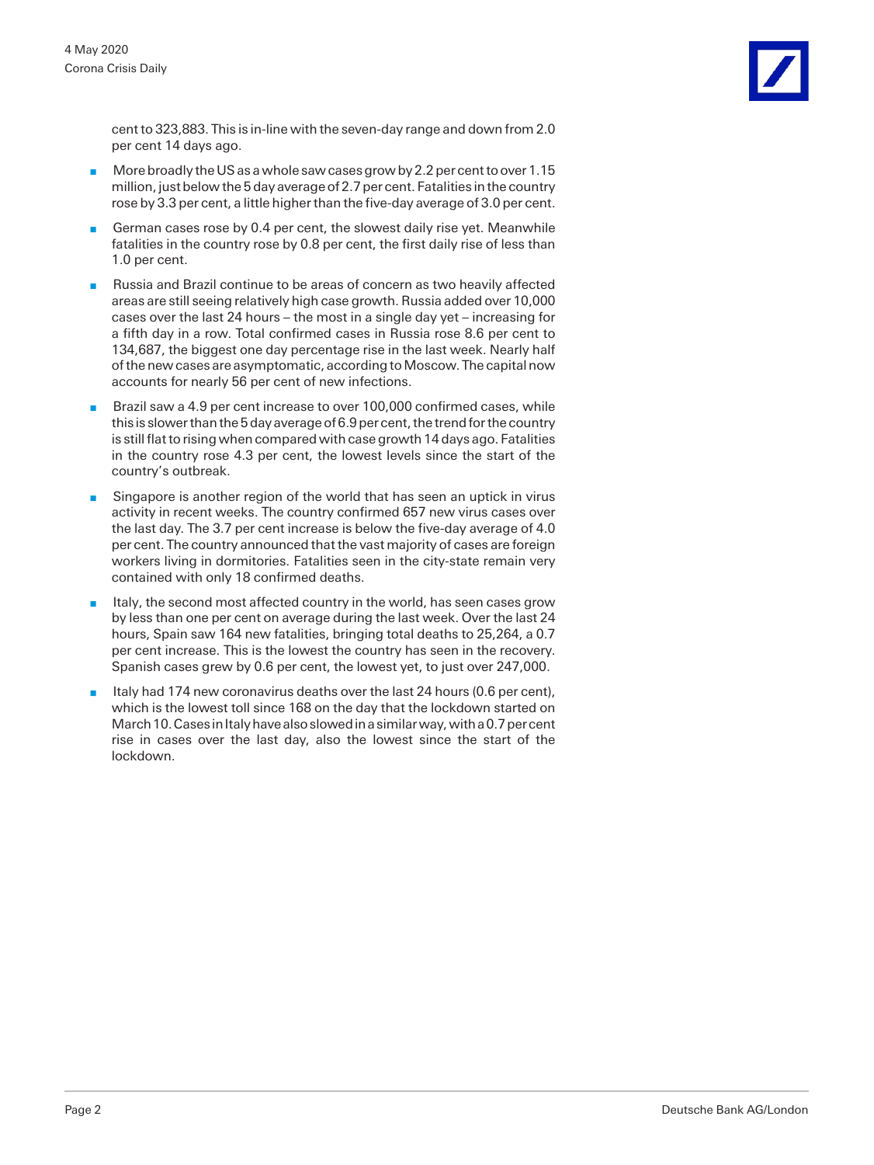cent to 323,883. This is in-line with the seven-day range and down from 2.0 per cent 14 days ago.

- More broadly the US as a whole saw cases grow by 2.2 per cent to over 1.15 million, just below the 5 day average of 2.7 per cent. Fatalities in the country rose by 3.3 per cent, a little higher than the five-day average of 3.0 per cent.
- **n** German cases rose by 0.4 per cent, the slowest daily rise yet. Meanwhile fatalities in the country rose by 0.8 per cent, the first daily rise of less than 1.0 per cent.
- **n** Russia and Brazil continue to be areas of concern as two heavily affected areas are still seeing relatively high case growth. Russia added over 10,000 cases over the last 24 hours – the most in a single day yet – increasing for a fifth day in a row. Total confirmed cases in Russia rose 8.6 per cent to 134,687, the biggest one day percentage rise in the last week. Nearly half of the new cases are asymptomatic, according to Moscow. The capital now accounts for nearly 56 per cent of new infections.
- Brazil saw a 4.9 per cent increase to over 100,000 confirmed cases, while this is slower than the 5 day average of 6.9 per cent, the trend for the country is still flat to rising when compared with case growth 14 days ago. Fatalities in the country rose 4.3 per cent, the lowest levels since the start of the country's outbreak.
- Singapore is another region of the world that has seen an uptick in virus activity in recent weeks. The country confirmed 657 new virus cases over the last day. The 3.7 per cent increase is below the five-day average of 4.0 per cent. The country announced that the vast majority of cases are foreign workers living in dormitories. Fatalities seen in the city-state remain very contained with only 18 confirmed deaths.
- $\blacksquare$  Italy, the second most affected country in the world, has seen cases grow by less than one per cent on average during the last week. Over the last 24 hours, Spain saw 164 new fatalities, bringing total deaths to 25,264, a 0.7 per cent increase. This is the lowest the country has seen in the recovery. Spanish cases grew by 0.6 per cent, the lowest yet, to just over 247,000.
- Italy had 174 new coronavirus deaths over the last 24 hours (0.6 per cent), which is the lowest toll since 168 on the day that the lockdown started on March 10. Cases in Italy have also slowed in a similar way, with a 0.7 per cent rise in cases over the last day, also the lowest since the start of the lockdown.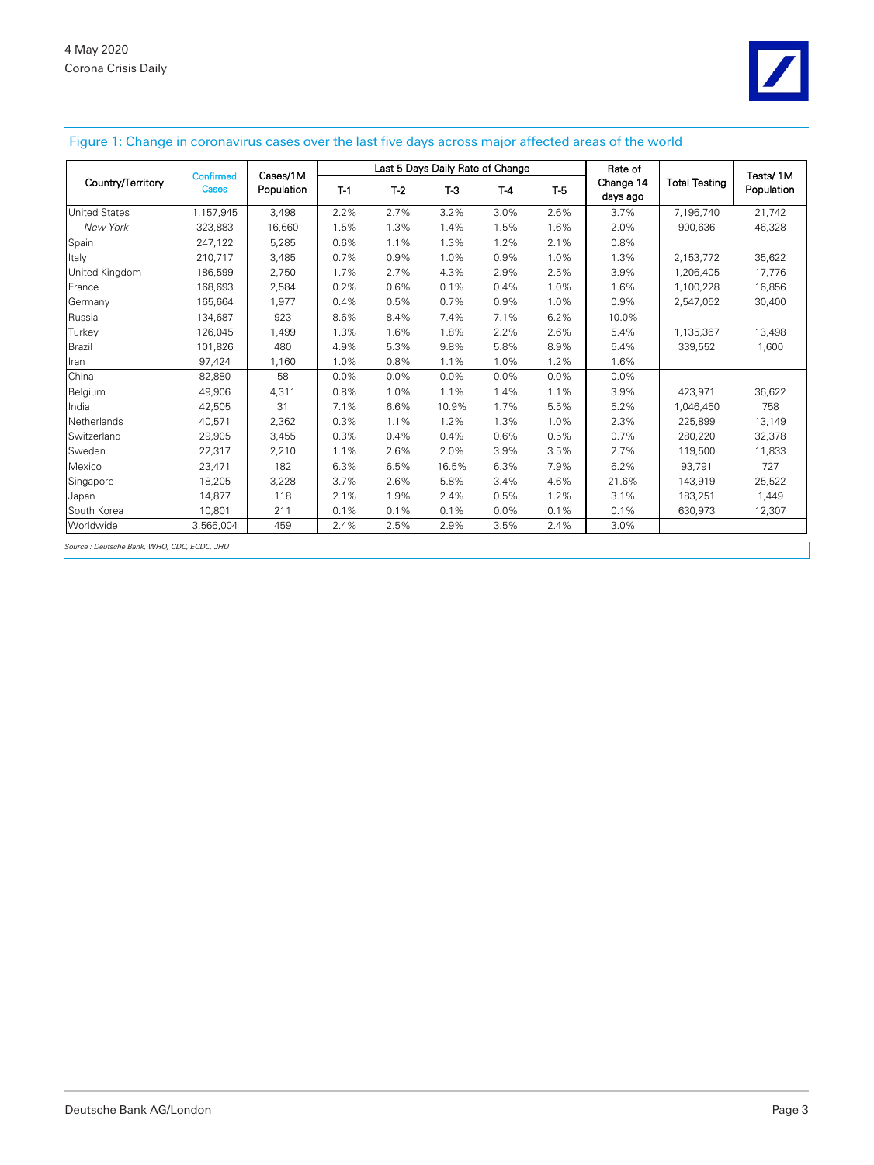

### Figure 1: Change in coronavirus cases over the last five days across major affected areas of the world

|                      | <b>Confirmed</b><br>Cases | Cases/1M<br>Population | Last 5 Days Daily Rate of Change |       |       |       |       | Rate of               |                      | Tests/1M   |
|----------------------|---------------------------|------------------------|----------------------------------|-------|-------|-------|-------|-----------------------|----------------------|------------|
| Country/Territory    |                           |                        | $T-1$                            | $T-2$ | $T-3$ | $T-4$ | $T-5$ | Change 14<br>days ago | <b>Total Testing</b> | Population |
| <b>United States</b> | 1,157,945                 | 3,498                  | 2.2%                             | 2.7%  | 3.2%  | 3.0%  | 2.6%  | 3.7%                  | 7,196,740            | 21,742     |
| New York             | 323,883                   | 16,660                 | 1.5%                             | 1.3%  | 1.4%  | 1.5%  | 1.6%  | 2.0%                  | 900,636              | 46,328     |
| Spain                | 247,122                   | 5,285                  | 0.6%                             | 1.1%  | 1.3%  | 1.2%  | 2.1%  | 0.8%                  |                      |            |
| Italy                | 210.717                   | 3,485                  | 0.7%                             | 0.9%  | 1.0%  | 0.9%  | 1.0%  | 1.3%                  | 2,153,772            | 35,622     |
| United Kingdom       | 186.599                   | 2,750                  | 1.7%                             | 2.7%  | 4.3%  | 2.9%  | 2.5%  | 3.9%                  | 1,206,405            | 17,776     |
| France               | 168.693                   | 2,584                  | 0.2%                             | 0.6%  | 0.1%  | 0.4%  | 1.0%  | 1.6%                  | 1,100,228            | 16,856     |
| Germany              | 165,664                   | 1,977                  | 0.4%                             | 0.5%  | 0.7%  | 0.9%  | 1.0%  | 0.9%                  | 2,547,052            | 30,400     |
| Russia               | 134.687                   | 923                    | 8.6%                             | 8.4%  | 7.4%  | 7.1%  | 6.2%  | 10.0%                 |                      |            |
| Turkey               | 126.045                   | 1,499                  | 1.3%                             | 1.6%  | 1.8%  | 2.2%  | 2.6%  | 5.4%                  | 1,135,367            | 13,498     |
| Brazil               | 101.826                   | 480                    | 4.9%                             | 5.3%  | 9.8%  | 5.8%  | 8.9%  | 5.4%                  | 339,552              | 1,600      |
| Iran                 | 97,424                    | 1,160                  | 1.0%                             | 0.8%  | 1.1%  | 1.0%  | 1.2%  | 1.6%                  |                      |            |
| China                | 82,880                    | 58                     | 0.0%                             | 0.0%  | 0.0%  | 0.0%  | 0.0%  | 0.0%                  |                      |            |
| Belgium              | 49,906                    | 4,311                  | 0.8%                             | 1.0%  | 1.1%  | 1.4%  | 1.1%  | 3.9%                  | 423,971              | 36,622     |
| India                | 42,505                    | 31                     | 7.1%                             | 6.6%  | 10.9% | 1.7%  | 5.5%  | 5.2%                  | 1,046,450            | 758        |
| Netherlands          | 40,571                    | 2,362                  | 0.3%                             | 1.1%  | 1.2%  | 1.3%  | 1.0%  | 2.3%                  | 225,899              | 13,149     |
| Switzerland          | 29,905                    | 3,455                  | 0.3%                             | 0.4%  | 0.4%  | 0.6%  | 0.5%  | 0.7%                  | 280.220              | 32,378     |
| Sweden               | 22,317                    | 2,210                  | 1.1%                             | 2.6%  | 2.0%  | 3.9%  | 3.5%  | 2.7%                  | 119,500              | 11,833     |
| Mexico               | 23,471                    | 182                    | 6.3%                             | 6.5%  | 16.5% | 6.3%  | 7.9%  | 6.2%                  | 93,791               | 727        |
| Singapore            | 18,205                    | 3,228                  | 3.7%                             | 2.6%  | 5.8%  | 3.4%  | 4.6%  | 21.6%                 | 143,919              | 25,522     |
| Japan                | 14,877                    | 118                    | 2.1%                             | 1.9%  | 2.4%  | 0.5%  | 1.2%  | 3.1%                  | 183,251              | 1,449      |
| South Korea          | 10,801                    | 211                    | 0.1%                             | 0.1%  | 0.1%  | 0.0%  | 0.1%  | 0.1%                  | 630,973              | 12,307     |
| Worldwide            | 3,566,004                 | 459                    | 2.4%                             | 2.5%  | 2.9%  | 3.5%  | 2.4%  | 3.0%                  |                      |            |

*Source : Deutsche Bank, WHO, CDC, ECDC, JHU*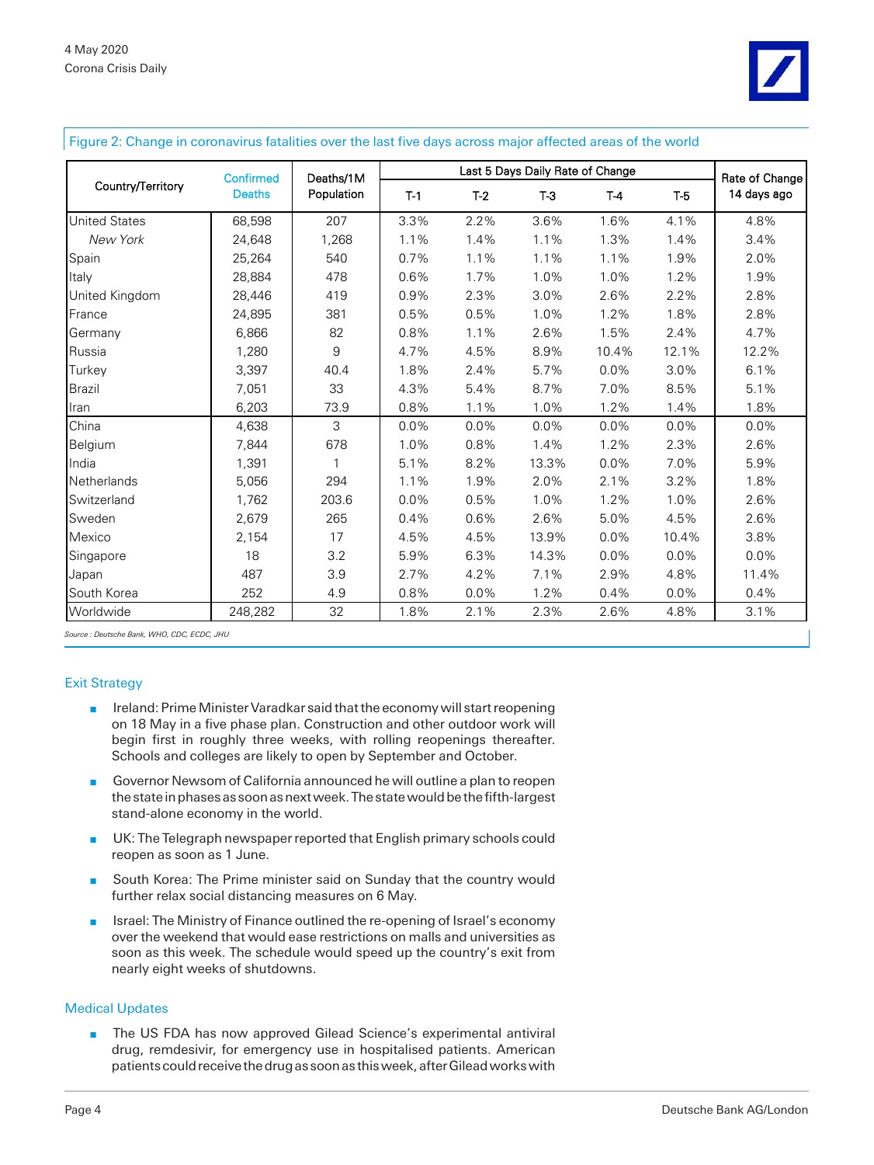

|  | Figure 2: Change in coronavirus fatalities over the last five days across major affected areas of the world |  |
|--|-------------------------------------------------------------------------------------------------------------|--|
|  |                                                                                                             |  |

|                      | Confirmed     | Deaths/1M<br>Population |         | Rate of Change |         |         |         |             |
|----------------------|---------------|-------------------------|---------|----------------|---------|---------|---------|-------------|
| Country/Territory    | <b>Deaths</b> |                         | $T-1$   | $T-2$          | $T-3$   | $T-4$   | $T-5$   | 14 days ago |
| <b>United States</b> | 68,598        | 207                     | 3.3%    | 2.2%           | 3.6%    | 1.6%    | 4.1%    | 4.8%        |
| New York             | 24,648        | 1,268                   | 1.1%    | 1.4%           | 1.1%    | 1.3%    | 1.4%    | 3.4%        |
| Spain                | 25,264        | 540                     | 0.7%    | 1.1%           | 1.1%    | 1.1%    | 1.9%    | 2.0%        |
| Italy                | 28,884        | 478                     | 0.6%    | 1.7%           | 1.0%    | 1.0%    | 1.2%    | 1.9%        |
| United Kingdom       | 28,446        | 419                     | 0.9%    | 2.3%           | 3.0%    | 2.6%    | 2.2%    | 2.8%        |
| France               | 24,895        | 381                     | 0.5%    | 0.5%           | 1.0%    | 1.2%    | 1.8%    | 2.8%        |
| Germany              | 6,866         | 82                      | 0.8%    | 1.1%           | 2.6%    | 1.5%    | 2.4%    | 4.7%        |
| Russia               | 1,280         | 9                       | 4.7%    | 4.5%           | 8.9%    | 10.4%   | 12.1%   | 12.2%       |
| Turkey               | 3,397         | 40.4                    | 1.8%    | 2.4%           | 5.7%    | $0.0\%$ | 3.0%    | 6.1%        |
| <b>Brazil</b>        | 7,051         | 33                      | 4.3%    | 5.4%           | 8.7%    | 7.0%    | 8.5%    | 5.1%        |
| Iran                 | 6,203         | 73.9                    | 0.8%    | 1.1%           | 1.0%    | 1.2%    | 1.4%    | 1.8%        |
| China                | 4,638         | 3                       | $0.0\%$ | $0.0\%$        | $0.0\%$ | $0.0\%$ | $0.0\%$ | $0.0\%$     |
| Belgium              | 7,844         | 678                     | 1.0%    | 0.8%           | 1.4%    | 1.2%    | 2.3%    | 2.6%        |
| India                | 1,391         | 1                       | 5.1%    | 8.2%           | 13.3%   | 0.0%    | 7.0%    | 5.9%        |
| Netherlands          | 5,056         | 294                     | 1.1%    | 1.9%           | 2.0%    | 2.1%    | 3.2%    | 1.8%        |
| Switzerland          | 1,762         | 203.6                   | 0.0%    | 0.5%           | 1.0%    | 1.2%    | 1.0%    | 2.6%        |
| Sweden               | 2.679         | 265                     | 0.4%    | 0.6%           | 2.6%    | 5.0%    | 4.5%    | 2.6%        |
| Mexico               | 2,154         | 17                      | 4.5%    | 4.5%           | 13.9%   | 0.0%    | 10.4%   | 3.8%        |
| Singapore            | 18            | 3.2                     | 5.9%    | 6.3%           | 14.3%   | 0.0%    | 0.0%    | 0.0%        |
| Japan                | 487           | 3.9                     | 2.7%    | 4.2%           | 7.1%    | 2.9%    | 4.8%    | 11.4%       |
| South Korea          | 252           | 4.9                     | 0.8%    | 0.0%           | 1.2%    | 0.4%    | 0.0%    | 0.4%        |
| Worldwide            | 248,282       | 32                      | 1.8%    | 2.1%           | 2.3%    | 2.6%    | 4.8%    | 3.1%        |

*Source : Deutsche Bank, WHO, CDC, ECDC, JHU*

#### Exit Strategy

- **n** Ireland: Prime Minister Varadkar said that the economy will start reopening on 18 May in a five phase plan. Construction and other outdoor work will begin first in roughly three weeks, with rolling reopenings thereafter. Schools and colleges are likely to open by September and October.
- n Governor Newsom of California announced he will outline a plan to reopen the state in phases as soon as next week. The state would be the fifth-largest stand-alone economy in the world.
- UK: The Telegraph newspaper reported that English primary schools could reopen as soon as 1 June.
- **n** South Korea: The Prime minister said on Sunday that the country would further relax social distancing measures on 6 May.
- **n** Israel: The Ministry of Finance outlined the re-opening of Israel's economy over the weekend that would ease restrictions on malls and universities as soon as this week. The schedule would speed up the country's exit from nearly eight weeks of shutdowns.

#### Medical Updates

n The US FDA has now approved Gilead Science's experimental antiviral drug, remdesivir, for emergency use in hospitalised patients. American patients could receive the drug as soon as this week, after Gilead works with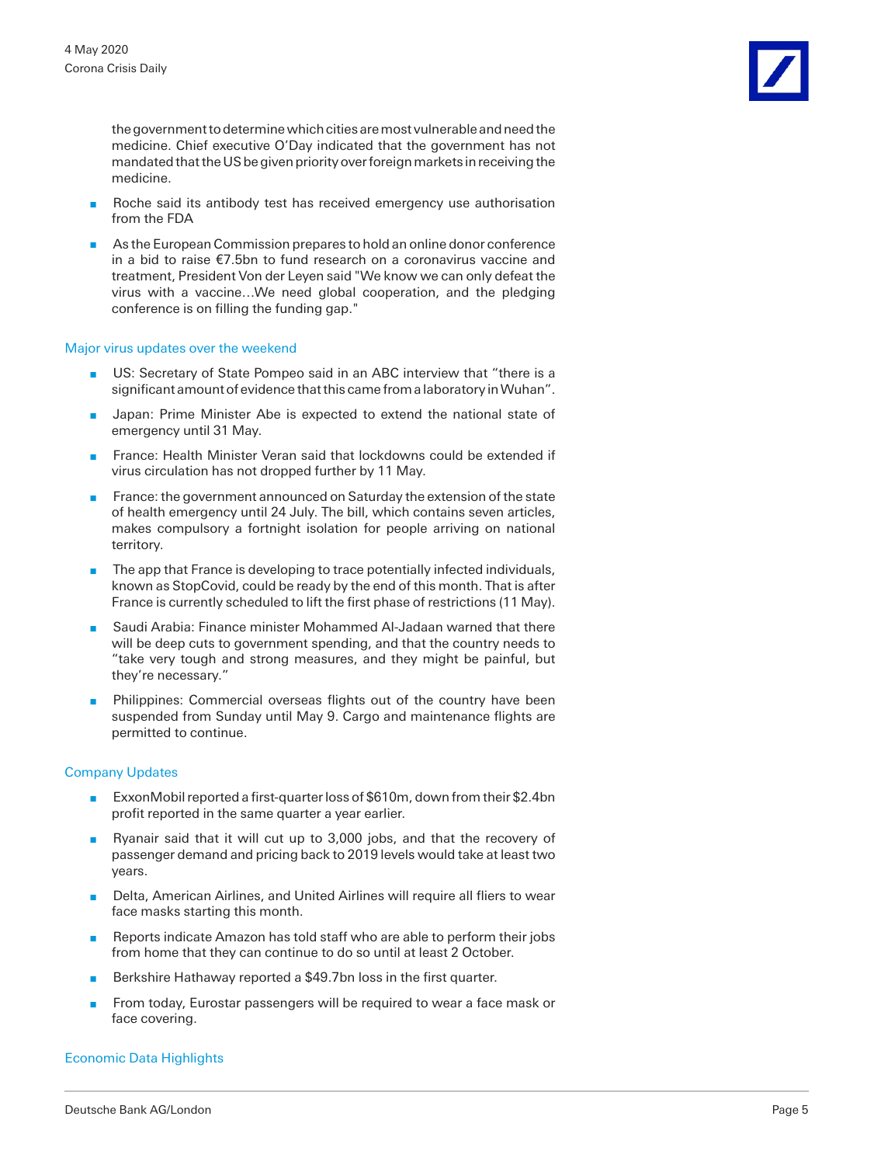the government to determine which cities are most vulnerable and need the medicine. Chief executive O'Day indicated that the government has not mandated that the US be given priority over foreign markets in receiving the medicine.

- n Roche said its antibody test has received emergency use authorisation from the FDA
- n As the European Commission prepares to hold an online donor conference in a bid to raise €7.5bn to fund research on a coronavirus vaccine and treatment, President Von der Leyen said "We know we can only defeat the virus with a vaccine…We need global cooperation, and the pledging conference is on filling the funding gap."

#### Major virus updates over the weekend

- US: Secretary of State Pompeo said in an ABC interview that "there is a significant amount of evidence that this came from a laboratory in Wuhan".
- **n** Japan: Prime Minister Abe is expected to extend the national state of emergency until 31 May.
- **n** France: Health Minister Veran said that lockdowns could be extended if virus circulation has not dropped further by 11 May.
- France: the government announced on Saturday the extension of the state of health emergency until 24 July. The bill, which contains seven articles, makes compulsory a fortnight isolation for people arriving on national territory.
- **n** The app that France is developing to trace potentially infected individuals, known as StopCovid, could be ready by the end of this month. That is after France is currently scheduled to lift the first phase of restrictions (11 May).
- Saudi Arabia: Finance minister Mohammed Al-Jadaan warned that there will be deep cuts to government spending, and that the country needs to "take very tough and strong measures, and they might be painful, but they're necessary."
- Philippines: Commercial overseas flights out of the country have been suspended from Sunday until May 9. Cargo and maintenance flights are permitted to continue.

#### Company Updates

- **ExxonMobil reported a first-quarter loss of \$610m, down from their \$2.4bn** profit reported in the same quarter a year earlier.
- n Ryanair said that it will cut up to 3,000 jobs, and that the recovery of passenger demand and pricing back to 2019 levels would take at least two years.
- Delta, American Airlines, and United Airlines will require all fliers to wear face masks starting this month.
- **n** Reports indicate Amazon has told staff who are able to perform their jobs from home that they can continue to do so until at least 2 October.
- Berkshire Hathaway reported a \$49.7bn loss in the first quarter.
- **n** From today, Eurostar passengers will be required to wear a face mask or face covering.

#### Economic Data Highlights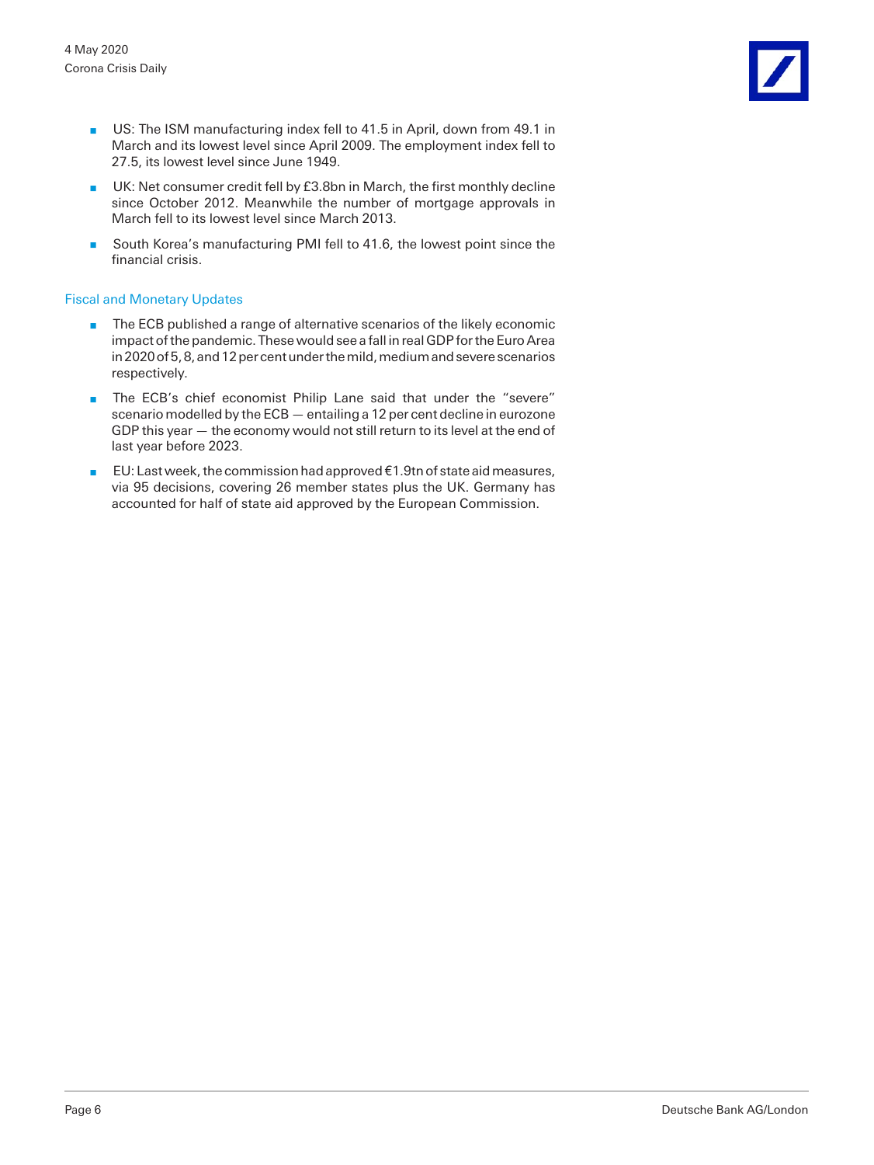- US: The ISM manufacturing index fell to 41.5 in April, down from 49.1 in March and its lowest level since April 2009. The employment index fell to 27.5, its lowest level since June 1949.
- UK: Net consumer credit fell by £3.8bn in March, the first monthly decline since October 2012. Meanwhile the number of mortgage approvals in March fell to its lowest level since March 2013.
- South Korea's manufacturing PMI fell to 41.6, the lowest point since the financial crisis.

#### Fiscal and Monetary Updates

- n The ECB published a range of alternative scenarios of the likely economic impact of the pandemic. These would see a fall in real GDP for the Euro Area in 2020 of 5, 8, and 12 per cent under the mild, medium and severe scenarios respectively.
- **n** The ECB's chief economist Philip Lane said that under the "severe" scenario modelled by the ECB — entailing a 12 per cent decline in eurozone GDP this year — the economy would not still return to its level at the end of last year before 2023.
- EU: Last week, the commission had approved  $€1.9$ tn of state aid measures, via 95 decisions, covering 26 member states plus the UK. Germany has accounted for half of state aid approved by the European Commission.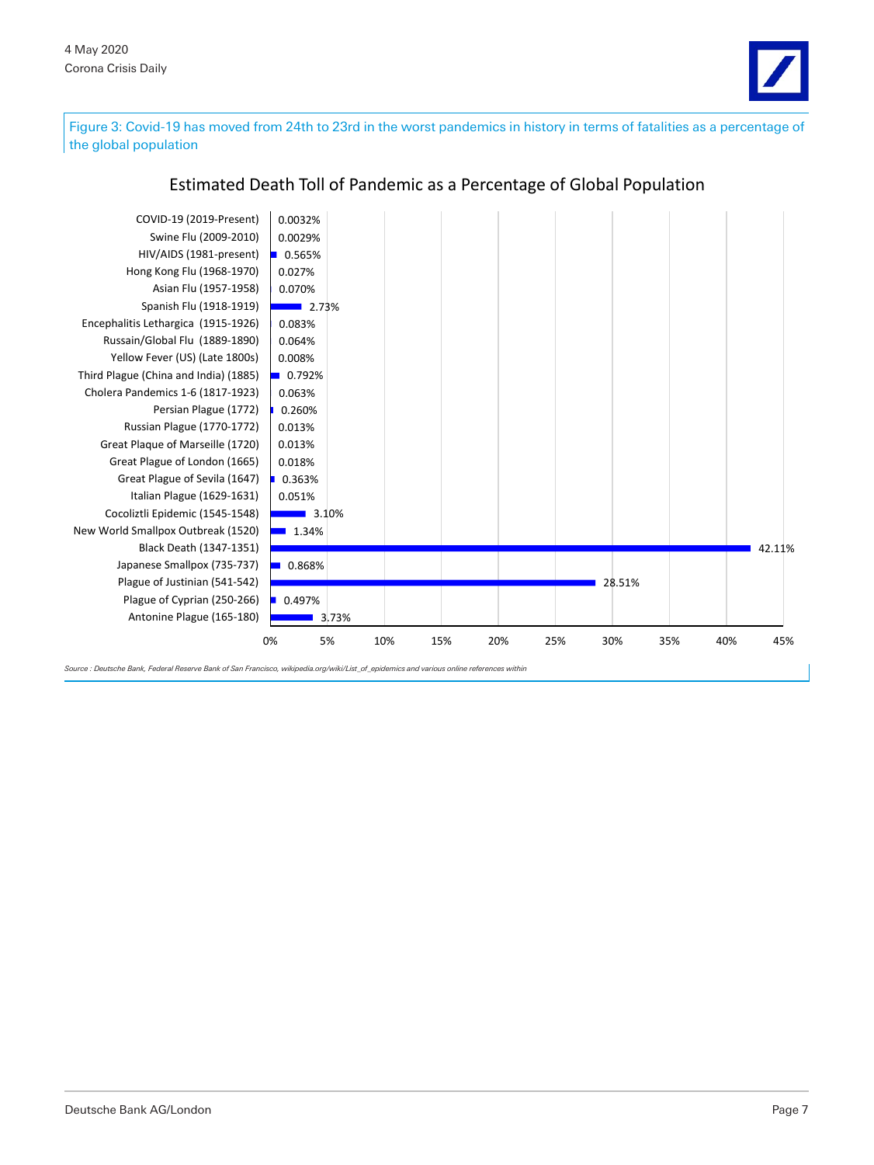

Figure 3: Covid-19 has moved from 24th to 23rd in the worst pandemics in history in terms of fatalities as a percentage of the global population



# Estimated Death Toll of Pandemic as a Percentage of Global Population

*Source : Deutsche Bank, Federal Reserve Bank of San Francisco, wikipedia.org/wiki/List\_of\_epidemics and various online references within*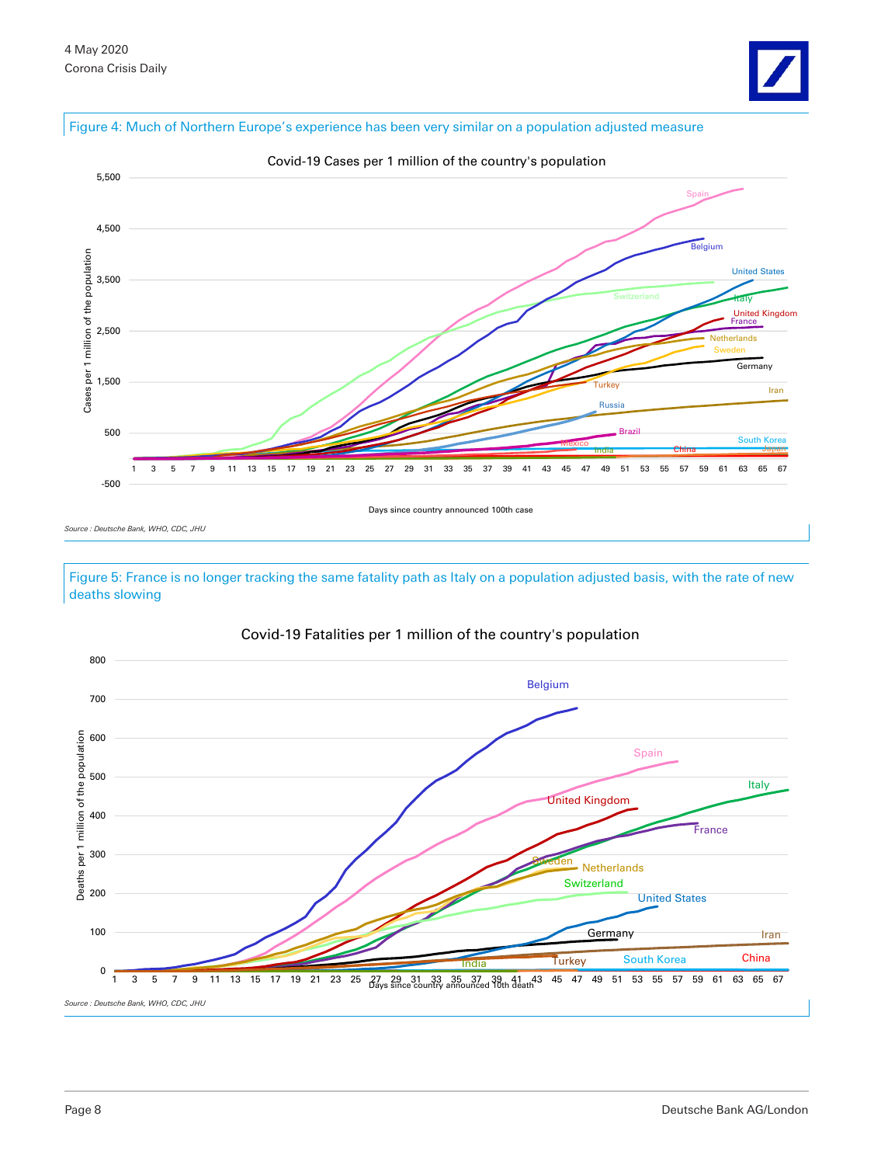#### Figure 4: Much of Northern Europe's experience has been very similar on a population adjusted measure



*Source : Deutsche Bank, WHO, CDC, JHU*

Figure 5: France is no longer tracking the same fatality path as Italy on a population adjusted basis, with the rate of new deaths slowing



#### Covid-19 Fatalities per 1 million of the country's population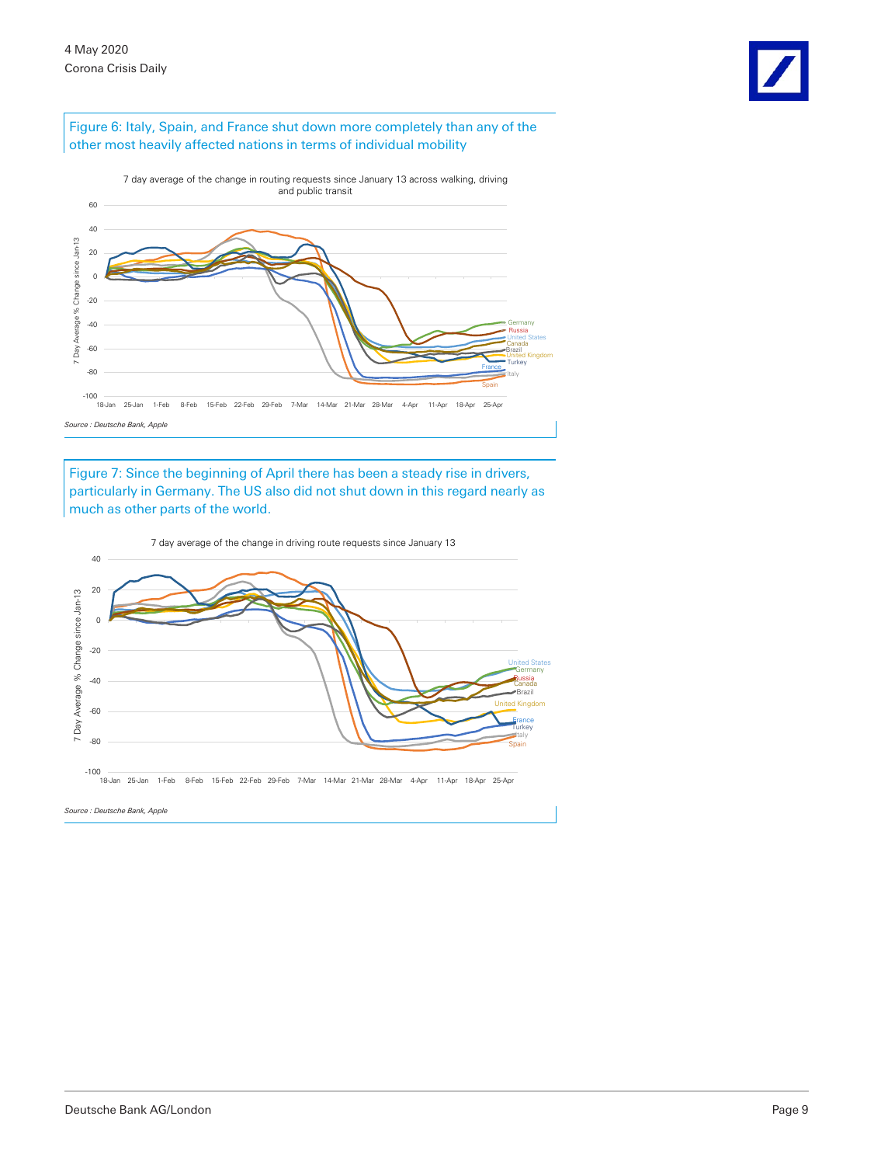

#### Figure 6: Italy, Spain, and France shut down more completely than any of the other most heavily affected nations in terms of individual mobility



Figure 7: Since the beginning of April there has been a steady rise in drivers, particularly in Germany. The US also did not shut down in this regard nearly as much as other parts of the world.



7 day average of the change in driving route requests since January 13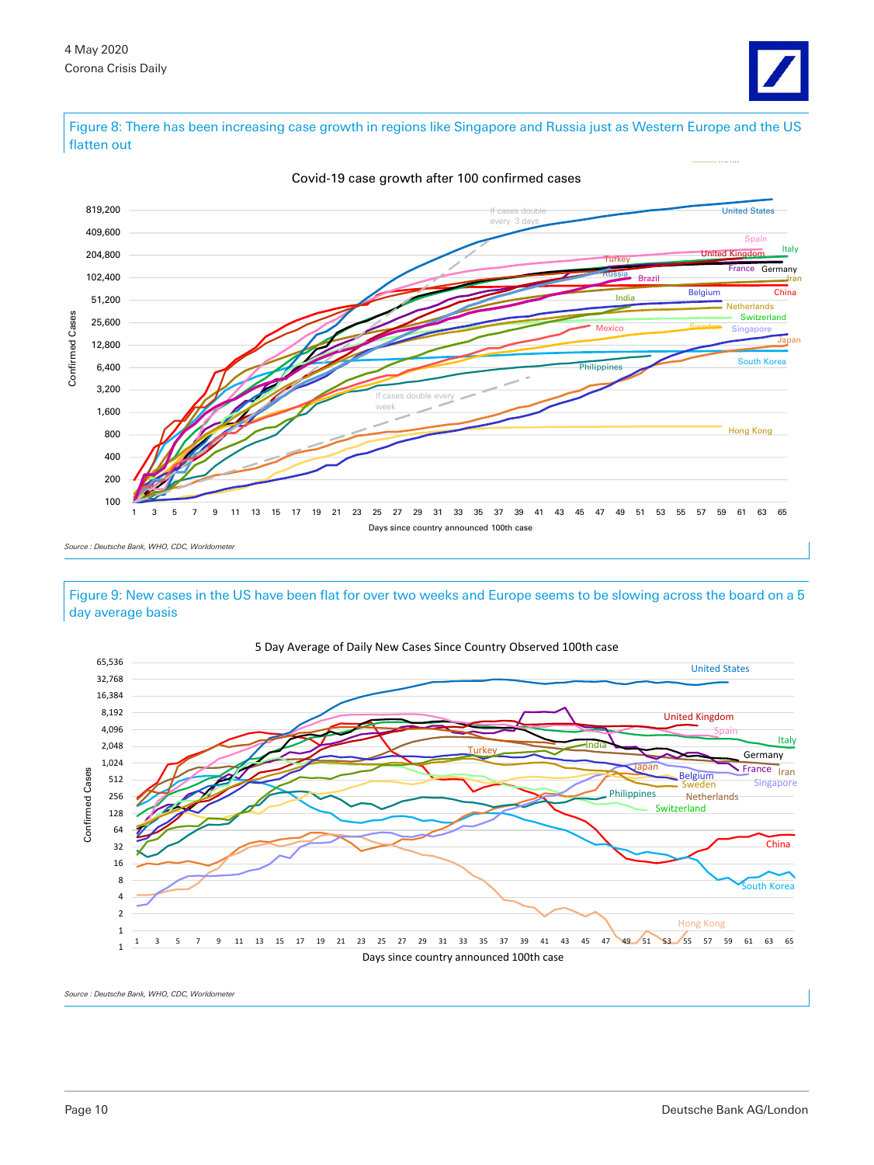

Figure 8: There has been increasing case growth in regions like Singapore and Russia just as Western Europe and the US flatten out



Covid-19 case growth after 100 confirmed cases

*Source : Deutsche Bank, WHO, CDC, Worldometer*

Figure 9: New cases in the US have been flat for over two weeks and Europe seems to be slowing across the board on a 5 day average basis



5 Day Average of Daily New Cases Since Country Observed 100th case

 $Source: Deutsche$  Bank, WHO, CDC, Worldomete.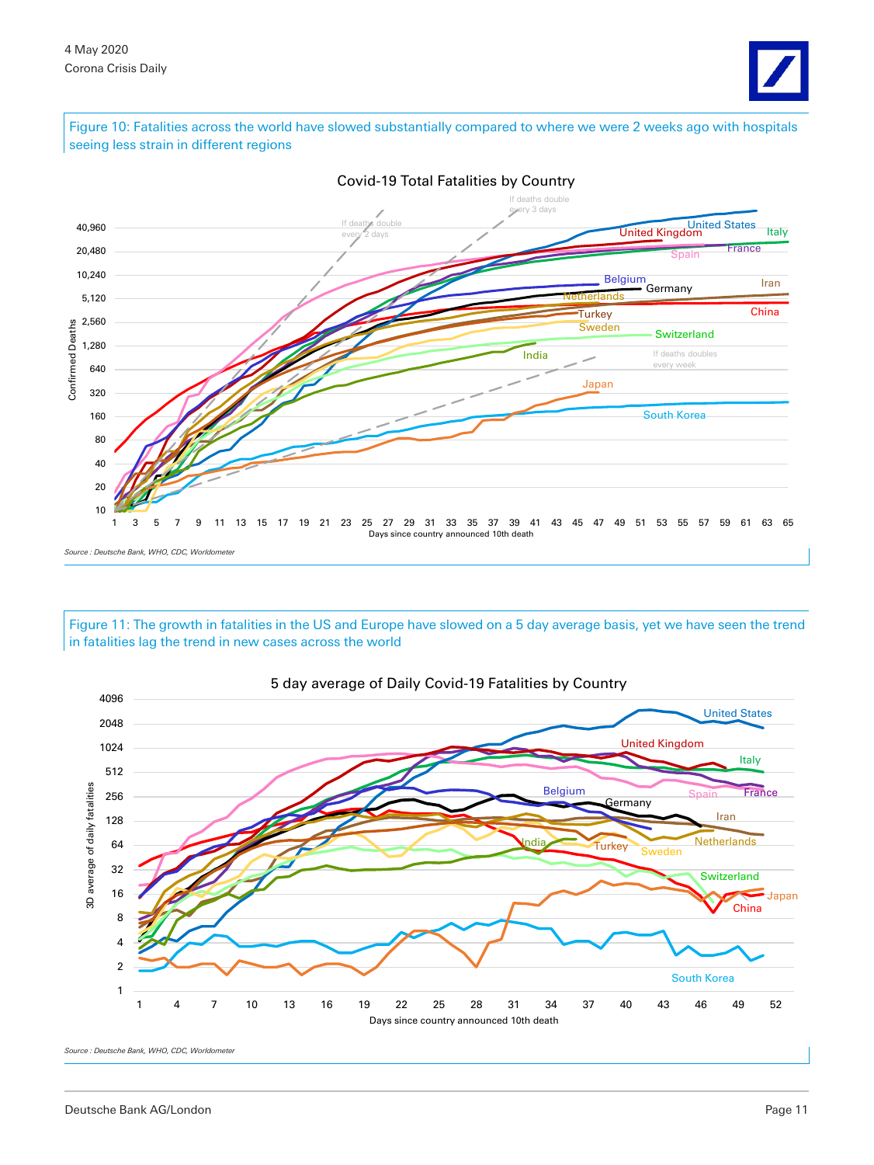

Figure 10: Fatalities across the world have slowed substantially compared to where we were 2 weeks ago with hospitals seeing less strain in different regions



Figure 11: The growth in fatalities in the US and Europe have slowed on a 5 day average basis, yet we have seen the trend in fatalities lag the trend in new cases across the world



Covid-19 Total Fatalities by Country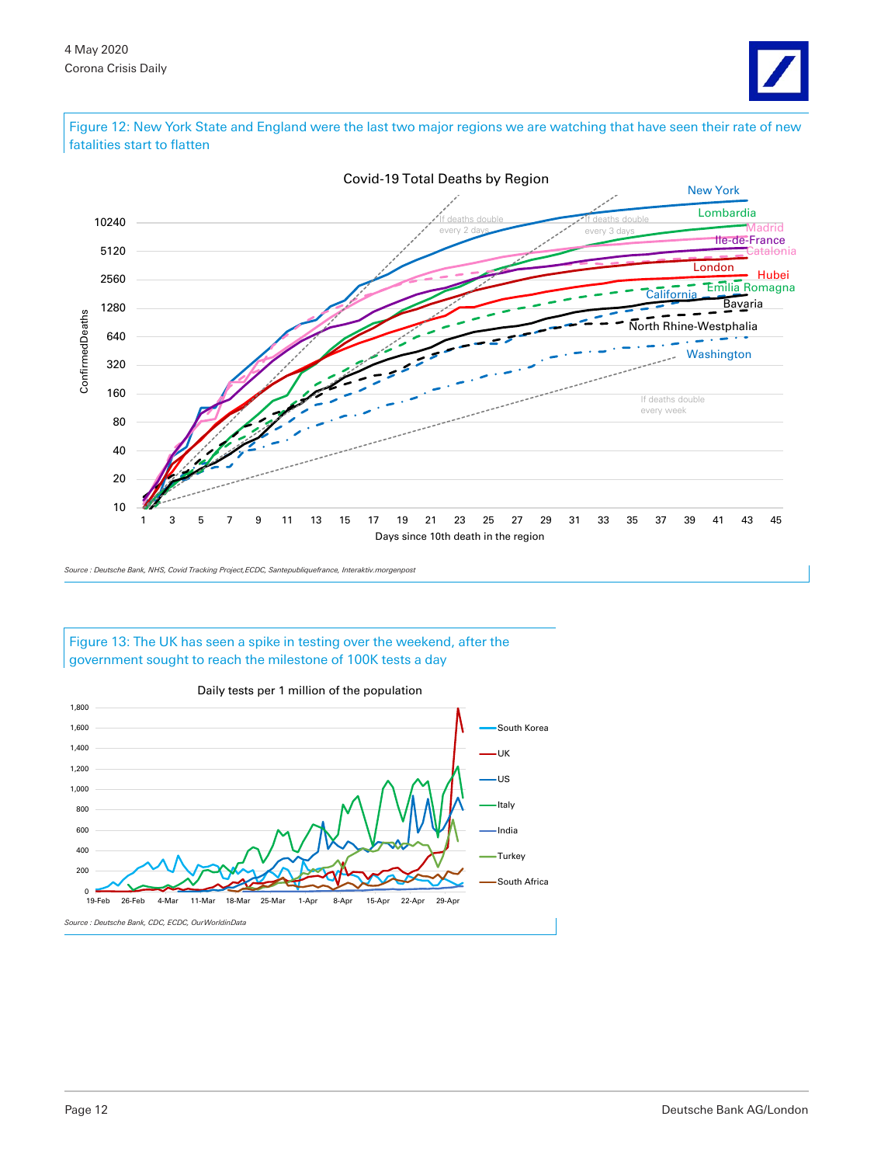

Figure 12: New York State and England were the last two major regions we are watching that have seen their rate of new fatalities start to flatten



*Source : Deutsche Bank, NHS, Covid Tracking Project,ECDC, Santepubliquefrance, Interaktiv.morgenpost*

#### Figure 13: The UK has seen a spike in testing over the weekend, after the government sought to reach the milestone of 100K tests a day



#### Daily tests per 1 million of the population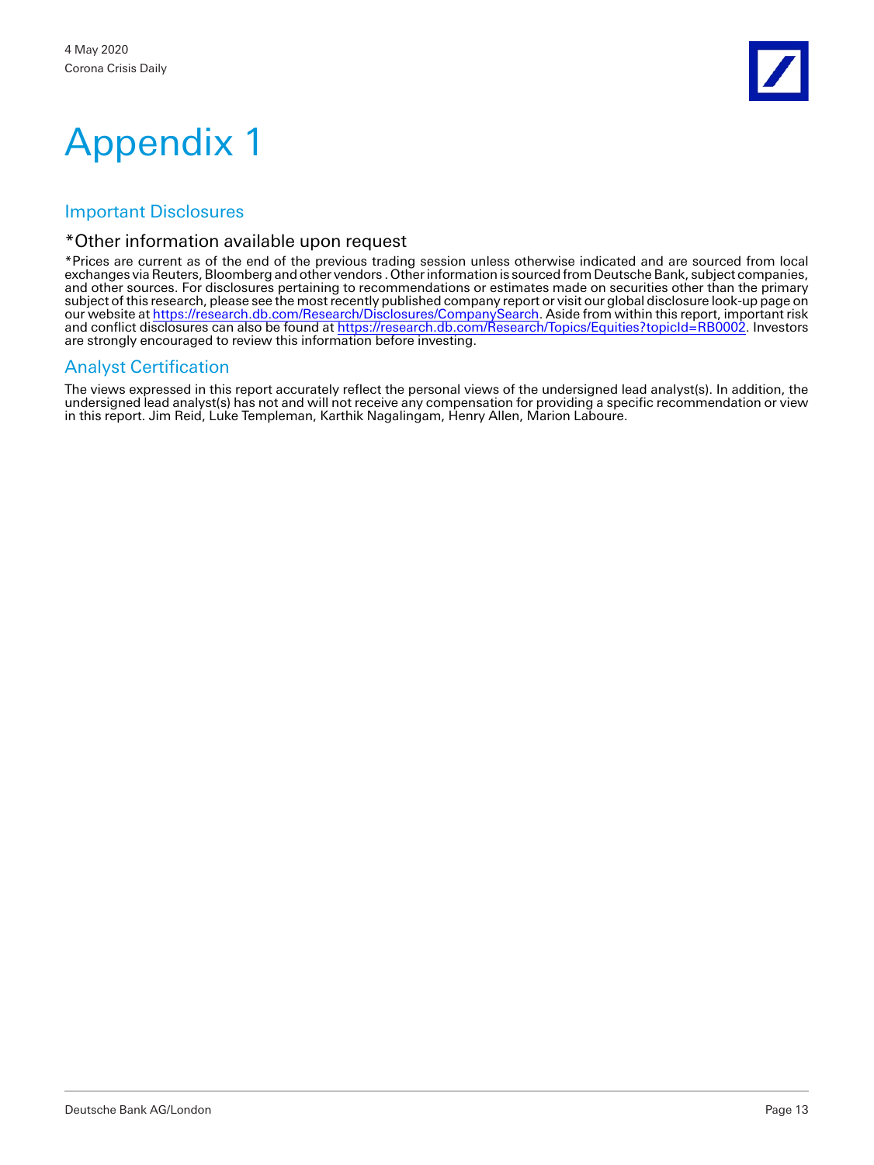

# Appendix 1

# Important Disclosures

## \*Other information available upon request

\*Prices are current as of the end of the previous trading session unless otherwise indicated and are sourced from local exchanges via Reuters, Bloomberg and other vendors . Other information is sourced from Deutsche Bank, subject companies, and other sources. For disclosures pertaining to recommendations or estimates made on securities other than the primary subject of this research, please see the most recently published company report or visit our global disclosure look-up page on our website a[t https://research.db.com/Research/Disclosures/CompanySearch.](https://research.db.com/Research/Disclosures/CompanySearch) Aside from within this report, important risk and conflict disclosures can also be found at [https://research.db.com/Research/Topics/Equities?topicId=RB0002.](https://research.db.com/Research/Topics/Equities?topicId=RB0002) Investors are strongly encouraged to review this information before investing.

# Analyst Certification

The views expressed in this report accurately reflect the personal views of the undersigned lead analyst(s). In addition, the undersigned lead analyst(s) has not and will not receive any compensation for providing a specific recommendation or view in this report. Jim Reid, Luke Templeman, Karthik Nagalingam, Henry Allen, Marion Laboure.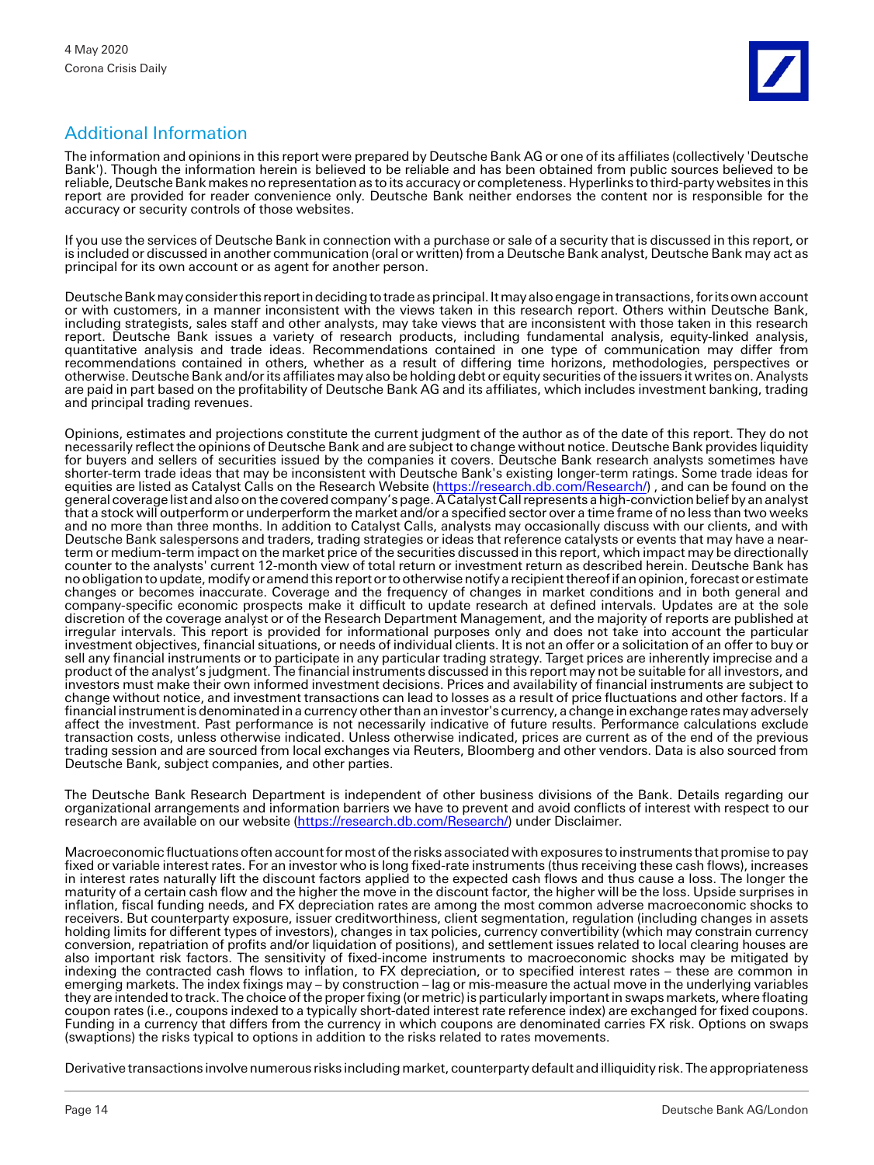# Additional Information

The information and opinions in this report were prepared by Deutsche Bank AG or one of its affiliates (collectively 'Deutsche Bank'). Though the information herein is believed to be reliable and has been obtained from public sources believed to be reliable, Deutsche Bank makes no representation as to its accuracy or completeness. Hyperlinks to third-party websites in this report are provided for reader convenience only. Deutsche Bank neither endorses the content nor is responsible for the accuracy or security controls of those websites.

If you use the services of Deutsche Bank in connection with a purchase or sale of a security that is discussed in this report, or is included or discussed in another communication (oral or written) from a Deutsche Bank analyst, Deutsche Bank may act as principal for its own account or as agent for another person.

Deutsche Bank may consider this report in deciding to trade as principal. It may also engage in transactions, for its own account or with customers, in a manner inconsistent with the views taken in this research report. Others within Deutsche Bank, including strategists, sales staff and other analysts, may take views that are inconsistent with those taken in this research report. Deutsche Bank issues a variety of research products, including fundamental analysis, equity-linked analysis, quantitative analysis and trade ideas. Recommendations contained in one type of communication may differ from recommendations contained in others, whether as a result of differing time horizons, methodologies, perspectives or otherwise. Deutsche Bank and/or its affiliates may also be holding debt or equity securities of the issuers it writes on. Analysts are paid in part based on the profitability of Deutsche Bank AG and its affiliates, which includes investment banking, trading and principal trading revenues.

Opinions, estimates and projections constitute the current judgment of the author as of the date of this report. They do not necessarily reflect the opinions of Deutsche Bank and are subject to change without notice. Deutsche Bank provides liquidity for buyers and sellers of securities issued by the companies it covers. Deutsche Bank research analysts sometimes have shorter-term trade ideas that may be inconsistent with Deutsche Bank's existing longer-term ratings. Some trade ideas for equities are listed as Catalyst Calls on the Research Website [\(https://research.db.com/Research/\)](https://research.db.com/Research/), and can be found on the general coverage list and also on the covered company's page. A Catalyst Call represents a high-conviction belief by an analyst that a stock will outperform or underperform the market and/or a specified sector over a time frame of no less than two weeks and no more than three months. In addition to Catalyst Calls, analysts may occasionally discuss with our clients, and with Deutsche Bank salespersons and traders, trading strategies or ideas that reference catalysts or events that may have a nearterm or medium-term impact on the market price of the securities discussed in this report, which impact may be directionally counter to the analysts' current 12-month view of total return or investment return as described herein. Deutsche Bank has no obligation to update, modify or amend this report or to otherwise notify a recipient thereof if an opinion, forecast or estimate changes or becomes inaccurate. Coverage and the frequency of changes in market conditions and in both general and company-specific economic prospects make it difficult to update research at defined intervals. Updates are at the sole discretion of the coverage analyst or of the Research Department Management, and the majority of reports are published at irregular intervals. This report is provided for informational purposes only and does not take into account the particular investment objectives, financial situations, or needs of individual clients. It is not an offer or a solicitation of an offer to buy or sell any financial instruments or to participate in any particular trading strategy. Target prices are inherently imprecise and a product of the analyst's judgment. The financial instruments discussed in this report may not be suitable for all investors, and investors must make their own informed investment decisions. Prices and availability of financial instruments are subject to change without notice, and investment transactions can lead to losses as a result of price fluctuations and other factors. If a financial instrument is denominated in a currency other than an investor's currency, a change in exchange rates may adversely affect the investment. Past performance is not necessarily indicative of future results. Performance calculations exclude transaction costs, unless otherwise indicated. Unless otherwise indicated, prices are current as of the end of the previous trading session and are sourced from local exchanges via Reuters, Bloomberg and other vendors. Data is also sourced from Deutsche Bank, subject companies, and other parties.

The Deutsche Bank Research Department is independent of other business divisions of the Bank. Details regarding our organizational arrangements and information barriers we have to prevent and avoid conflicts of interest with respect to our research are available on our website [\(https://research.db.com/Research/\)](https://research.db.com/Research/) under Disclaimer.

Macroeconomic fluctuations often account for most of the risks associated with exposures to instruments that promise to pay fixed or variable interest rates. For an investor who is long fixed-rate instruments (thus receiving these cash flows), increases in interest rates naturally lift the discount factors applied to the expected cash flows and thus cause a loss. The longer the maturity of a certain cash flow and the higher the move in the discount factor, the higher will be the loss. Upside surprises in inflation, fiscal funding needs, and FX depreciation rates are among the most common adverse macroeconomic shocks to receivers. But counterparty exposure, issuer creditworthiness, client segmentation, regulation (including changes in assets holding limits for different types of investors), changes in tax policies, currency convertibility (which may constrain currency conversion, repatriation of profits and/or liquidation of positions), and settlement issues related to local clearing houses are also important risk factors. The sensitivity of fixed-income instruments to macroeconomic shocks may be mitigated by indexing the contracted cash flows to inflation, to FX depreciation, or to specified interest rates – these are common in emerging markets. The index fixings may – by construction – lag or mis-measure the actual move in the underlying variables they are intended to track. The choice of the proper fixing (or metric) is particularly important in swaps markets, where floating coupon rates (i.e., coupons indexed to a typically short-dated interest rate reference index) are exchanged for fixed coupons. Funding in a currency that differs from the currency in which coupons are denominated carries FX risk. Options on swaps (swaptions) the risks typical to options in addition to the risks related to rates movements.

Derivative transactions involve numerous risks including market, counterparty default and illiquidity risk. The appropriateness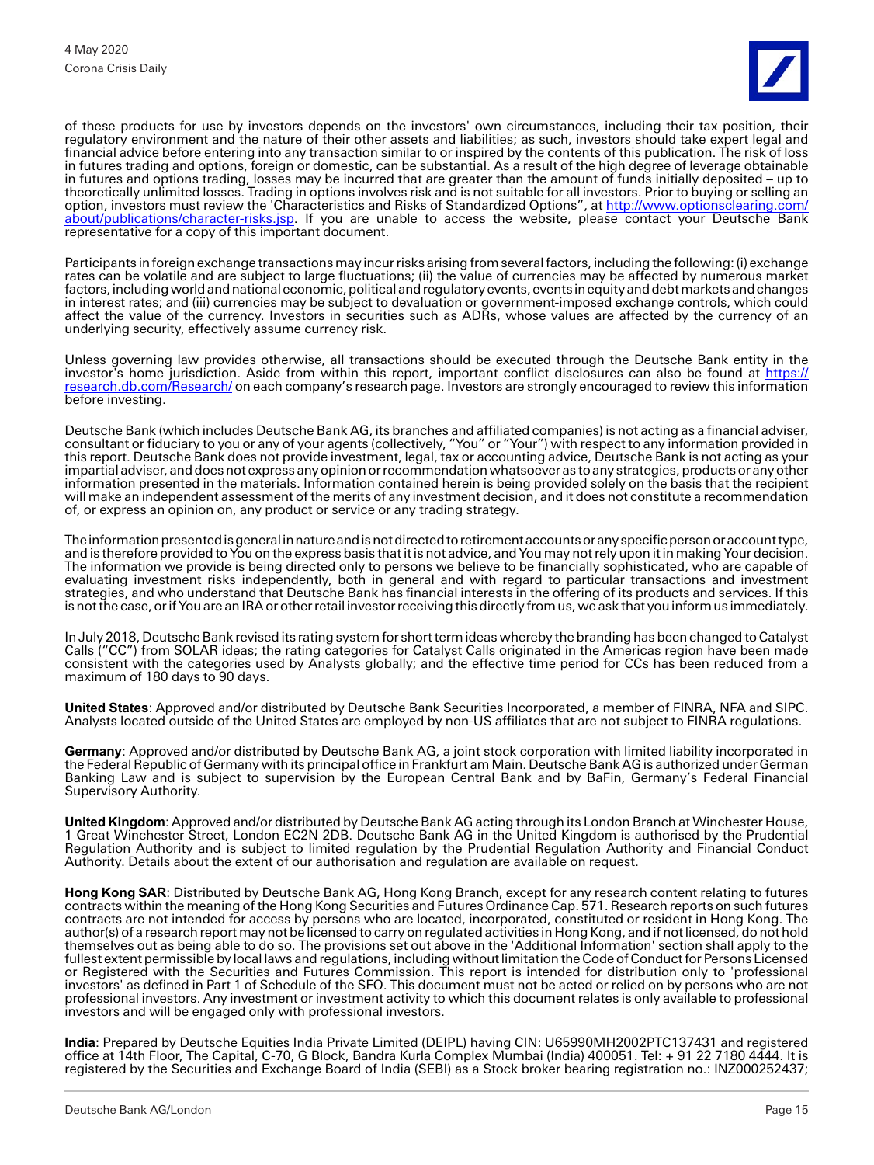of these products for use by investors depends on the investors' own circumstances, including their tax position, their regulatory environment and the nature of their other assets and liabilities; as such, investors should take expert legal and financial advice before entering into any transaction similar to or inspired by the contents of this publication. The risk of loss in futures trading and options, foreign or domestic, can be substantial. As a result of the high degree of leverage obtainable in futures and options trading, losses may be incurred that are greater than the amount of funds initially deposited – up to theoretically unlimited losses. Trading in options involves risk and is not suitable for all investors. Prior to buying or selling an option, investors must review the 'Characteristics and Risks of Standardized Options", at [http://www.optionsclearing.com/](http://www.optionsclearing.com/about/publications/character-risks.jsp) [about/publications/character-risks.jsp.](http://www.optionsclearing.com/about/publications/character-risks.jsp) If you are unable to access the website, please contact your Deutsche Bank representative for a copy of this important document.

Participants in foreign exchange transactions may incur risks arising from several factors, including the following: (i) exchange rates can be volatile and are subject to large fluctuations; (ii) the value of currencies may be affected by numerous market factors, including world and national economic, political and regulatory events, events in equity and debt markets and changes in interest rates; and (iii) currencies may be subject to devaluation or government-imposed exchange controls, which could affect the value of the currency. Investors in securities such as ADRs, whose values are affected by the currency of an underlying security, effectively assume currency risk.

Unless governing law provides otherwise, all transactions should be executed through the Deutsche Bank entity in the investor's home jurisdiction. Aside from within this report, important conflict disclosures can also be found at [https://](https://research.db.com/Research/) [research.db.com/Research/](https://research.db.com/Research/) on each company's research page. Investors are strongly encouraged to review this information before investing.

Deutsche Bank (which includes Deutsche Bank AG, its branches and affiliated companies) is not acting as a financial adviser, consultant or fiduciary to you or any of your agents (collectively, "You" or "Your") with respect to any information provided in this report. Deutsche Bank does not provide investment, legal, tax or accounting advice, Deutsche Bank is not acting as your impartial adviser, and does not express any opinion or recommendation whatsoever as to any strategies, products or any other information presented in the materials. Information contained herein is being provided solely on the basis that the recipient will make an independent assessment of the merits of any investment decision, and it does not constitute a recommendation of, or express an opinion on, any product or service or any trading strategy.

The information presented is general in nature and is not directed to retirement accounts or any specific person or account type, and is therefore provided to You on the express basis that it is not advice, and You may not rely upon it in making Your decision. The information we provide is being directed only to persons we believe to be financially sophisticated, who are capable of evaluating investment risks independently, both in general and with regard to particular transactions and investment strategies, and who understand that Deutsche Bank has financial interests in the offering of its products and services. If this is not the case, or if You are an IRA or other retail investor receiving this directly from us, we ask that you inform us immediately.

In July 2018, Deutsche Bank revised its rating system for short term ideas whereby the branding has been changed to Catalyst Calls ("CC") from SOLAR ideas; the rating categories for Catalyst Calls originated in the Americas region have been made consistent with the categories used by Analysts globally; and the effective time period for CCs has been reduced from a maximum of 180 days to 90 days.

**United States**: Approved and/or distributed by Deutsche Bank Securities Incorporated, a member of FINRA, NFA and SIPC. Analysts located outside of the United States are employed by non-US affiliates that are not subject to FINRA regulations.

**Germany**: Approved and/or distributed by Deutsche Bank AG, a joint stock corporation with limited liability incorporated in the Federal Republic of Germany with its principal office in Frankfurt am Main. Deutsche Bank AG is authorized under German Banking Law and is subject to supervision by the European Central Bank and by BaFin, Germany's Federal Financial Supervisory Authority.

**United Kingdom**: Approved and/or distributed by Deutsche Bank AG acting through its London Branch at Winchester House, 1 Great Winchester Street, London EC2N 2DB. Deutsche Bank AG in the United Kingdom is authorised by the Prudential Regulation Authority and is subject to limited regulation by the Prudential Regulation Authority and Financial Conduct Authority. Details about the extent of our authorisation and regulation are available on request.

**Hong Kong SAR**: Distributed by Deutsche Bank AG, Hong Kong Branch, except for any research content relating to futures contracts within the meaning of the Hong Kong Securities and Futures Ordinance Cap. 571. Research reports on such futures contracts are not intended for access by persons who are located, incorporated, constituted or resident in Hong Kong. The author(s) of a research report may not be licensed to carry on regulated activities in Hong Kong, and if not licensed, do not hold themselves out as being able to do so. The provisions set out above in the 'Additional Information' section shall apply to the fullest extent permissible by local laws and regulations, including without limitation the Code of Conduct for Persons Licensed or Registered with the Securities and Futures Commission. This report is intended for distribution only to 'professional investors' as defined in Part 1 of Schedule of the SFO. This document must not be acted or relied on by persons who are not professional investors. Any investment or investment activity to which this document relates is only available to professional investors and will be engaged only with professional investors.

**India**: Prepared by Deutsche Equities India Private Limited (DEIPL) having CIN: U65990MH2002PTC137431 and registered office at 14th Floor, The Capital, C-70, G Block, Bandra Kurla Complex Mumbai (India) 400051. Tel: + 91 22 7180 4444. It is registered by the Securities and Exchange Board of India (SEBI) as a Stock broker bearing registration no.: INZ000252437;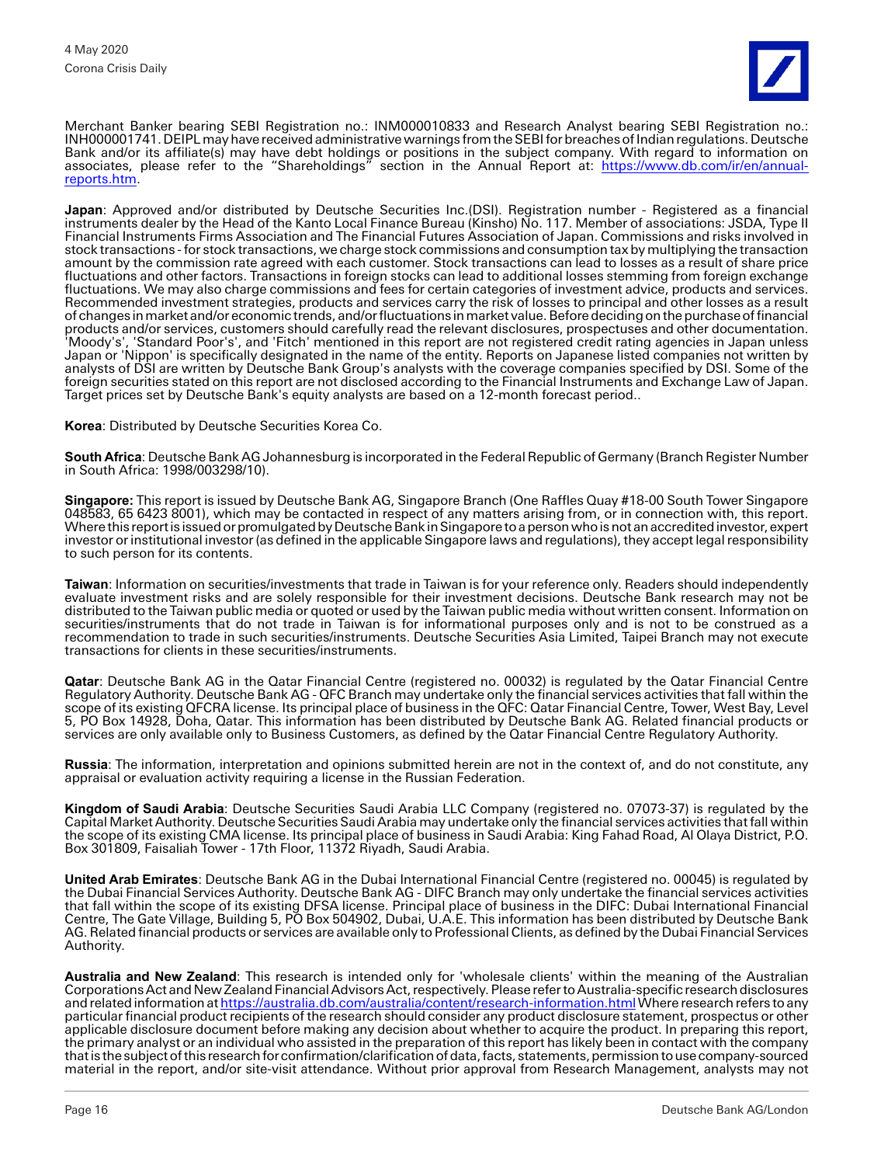

Merchant Banker bearing SEBI Registration no.: INM000010833 and Research Analyst bearing SEBI Registration no.: INH000001741. DEIPL may have received administrative warnings from the SEBI for breaches of Indian regulations. Deutsche Bank and/or its affiliate(s) may have debt holdings or positions in the subject company. With regard to information on associates, please refer to the "Shareholdings" section in the Annual Report at: <u>https://www.db.com/ir/en/annual-</u> [reports.htm.](https://www.db.com/ir/en/annual-reports.htm)

**Japan**: Approved and/or distributed by Deutsche Securities Inc.(DSI). Registration number - Registered as a financial instruments dealer by the Head of the Kanto Local Finance Bureau (Kinsho) No. 117. Member of associations: JSDA, Type II Financial Instruments Firms Association and The Financial Futures Association of Japan. Commissions and risks involved in stock transactions - for stock transactions, we charge stock commissions and consumption tax by multiplying the transaction amount by the commission rate agreed with each customer. Stock transactions can lead to losses as a result of share price fluctuations and other factors. Transactions in foreign stocks can lead to additional losses stemming from foreign exchange fluctuations. We may also charge commissions and fees for certain categories of investment advice, products and services. Recommended investment strategies, products and services carry the risk of losses to principal and other losses as a result of changes in market and/or economic trends, and/or fluctuations in market value. Before deciding on the purchase of financial products and/or services, customers should carefully read the relevant disclosures, prospectuses and other documentation. 'Moody's', 'Standard Poor's', and 'Fitch' mentioned in this report are not registered credit rating agencies in Japan unless Japan or 'Nippon' is specifically designated in the name of the entity. Reports on Japanese listed companies not written by analysts of DSI are written by Deutsche Bank Group's analysts with the coverage companies specified by DSI. Some of the foreign securities stated on this report are not disclosed according to the Financial Instruments and Exchange Law of Japan. Target prices set by Deutsche Bank's equity analysts are based on a 12-month forecast period..

**Korea**: Distributed by Deutsche Securities Korea Co.

**South Africa**: Deutsche Bank AG Johannesburg is incorporated in the Federal Republic of Germany (Branch Register Number in South Africa: 1998/003298/10).

**Singapore:** This report is issued by Deutsche Bank AG, Singapore Branch (One Raffles Quay #18-00 South Tower Singapore 048583, 65 6423 8001), which may be contacted in respect of any matters arising from, or in connection with, this report. Where this report is issued or promulgated by Deutsche Bank in Singapore to a person who is not an accredited investor, expert investor or institutional investor (as defined in the applicable Singapore laws and regulations), they accept legal responsibility to such person for its contents.

**Taiwan**: Information on securities/investments that trade in Taiwan is for your reference only. Readers should independently evaluate investment risks and are solely responsible for their investment decisions. Deutsche Bank research may not be distributed to the Taiwan public media or quoted or used by the Taiwan public media without written consent. Information on securities/instruments that do not trade in Taiwan is for informational purposes only and is not to be construed as a recommendation to trade in such securities/instruments. Deutsche Securities Asia Limited, Taipei Branch may not execute transactions for clients in these securities/instruments.

**Qatar**: Deutsche Bank AG in the Qatar Financial Centre (registered no. 00032) is regulated by the Qatar Financial Centre Regulatory Authority. Deutsche Bank AG - QFC Branch may undertake only the financial services activities that fall within the scope of its existing QFCRA license. Its principal place of business in the QFC: Qatar Financial Centre, Tower, West Bay, Level 5, PO Box 14928, Doha, Qatar. This information has been distributed by Deutsche Bank AG. Related financial products or services are only available only to Business Customers, as defined by the Qatar Financial Centre Regulatory Authority.

**Russia**: The information, interpretation and opinions submitted herein are not in the context of, and do not constitute, any appraisal or evaluation activity requiring a license in the Russian Federation.

**Kingdom of Saudi Arabia**: Deutsche Securities Saudi Arabia LLC Company (registered no. 07073-37) is regulated by the Capital Market Authority. Deutsche Securities Saudi Arabia may undertake only the financial services activities that fall within the scope of its existing CMA license. Its principal place of business in Saudi Arabia: King Fahad Road, Al Olaya District, P.O. Box 301809, Faisaliah Tower - 17th Floor, 11372 Riyadh, Saudi Arabia.

**United Arab Emirates**: Deutsche Bank AG in the Dubai International Financial Centre (registered no. 00045) is regulated by the Dubai Financial Services Authority. Deutsche Bank AG - DIFC Branch may only undertake the financial services activities that fall within the scope of its existing DFSA license. Principal place of business in the DIFC: Dubai International Financial Centre, The Gate Village, Building 5, PO Box 504902, Dubai, U.A.E. This information has been distributed by Deutsche Bank AG. Related financial products or services are available only to Professional Clients, as defined by the Dubai Financial Services Authority.

**Australia and New Zealand**: This research is intended only for 'wholesale clients' within the meaning of the Australian Corporations Act and New Zealand Financial Advisors Act, respectively. Please refer to Australia-specific research disclosures and related information a[t https://australia.db.com/australia/content/research-information.html W](https://australia.db.com/australia/content/research-information.html)here research refers to any particular financial product recipients of the research should consider any product disclosure statement, prospectus or other applicable disclosure document before making any decision about whether to acquire the product. In preparing this report, the primary analyst or an individual who assisted in the preparation of this report has likely been in contact with the company that is the subject of this research for confirmation/clarification of data, facts, statements, permission to use company-sourced material in the report, and/or site-visit attendance. Without prior approval from Research Management, analysts may not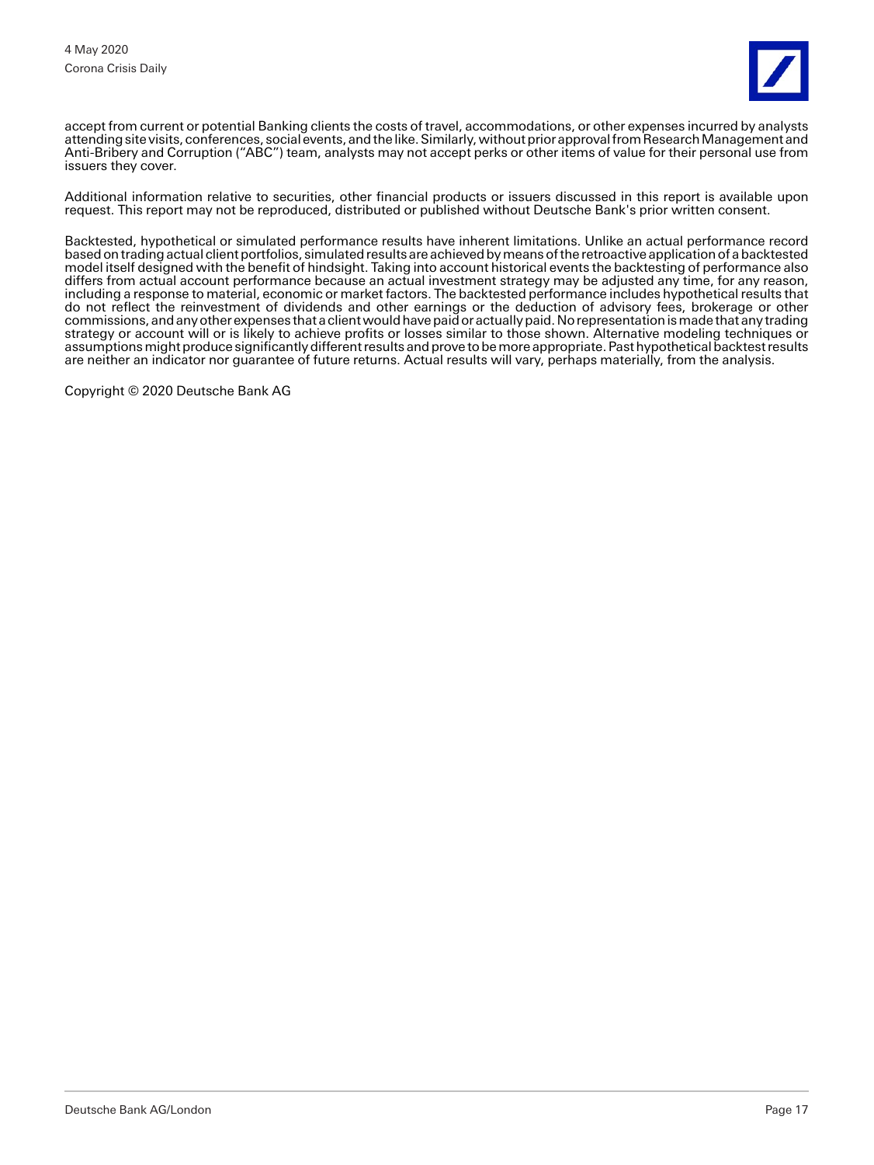

accept from current or potential Banking clients the costs of travel, accommodations, or other expenses incurred by analysts attending site visits, conferences, social events, and the like. Similarly, without prior approval from Research Management and Anti-Bribery and Corruption ("ABC") team, analysts may not accept perks or other items of value for their personal use from issuers they cover.

Additional information relative to securities, other financial products or issuers discussed in this report is available upon request. This report may not be reproduced, distributed or published without Deutsche Bank's prior written consent.

Backtested, hypothetical or simulated performance results have inherent limitations. Unlike an actual performance record based on trading actual client portfolios, simulated results are achieved by means of the retroactive application of a backtested model itself designed with the benefit of hindsight. Taking into account historical events the backtesting of performance also differs from actual account performance because an actual investment strategy may be adjusted any time, for any reason, including a response to material, economic or market factors. The backtested performance includes hypothetical results that do not reflect the reinvestment of dividends and other earnings or the deduction of advisory fees, brokerage or other commissions, and any other expenses that a client would have paid or actually paid. No representation is made that any trading strategy or account will or is likely to achieve profits or losses similar to those shown. Alternative modeling techniques or assumptions might produce significantly different results and prove to be more appropriate. Past hypothetical backtest results are neither an indicator nor guarantee of future returns. Actual results will vary, perhaps materially, from the analysis.

Copyright © 2020 Deutsche Bank AG